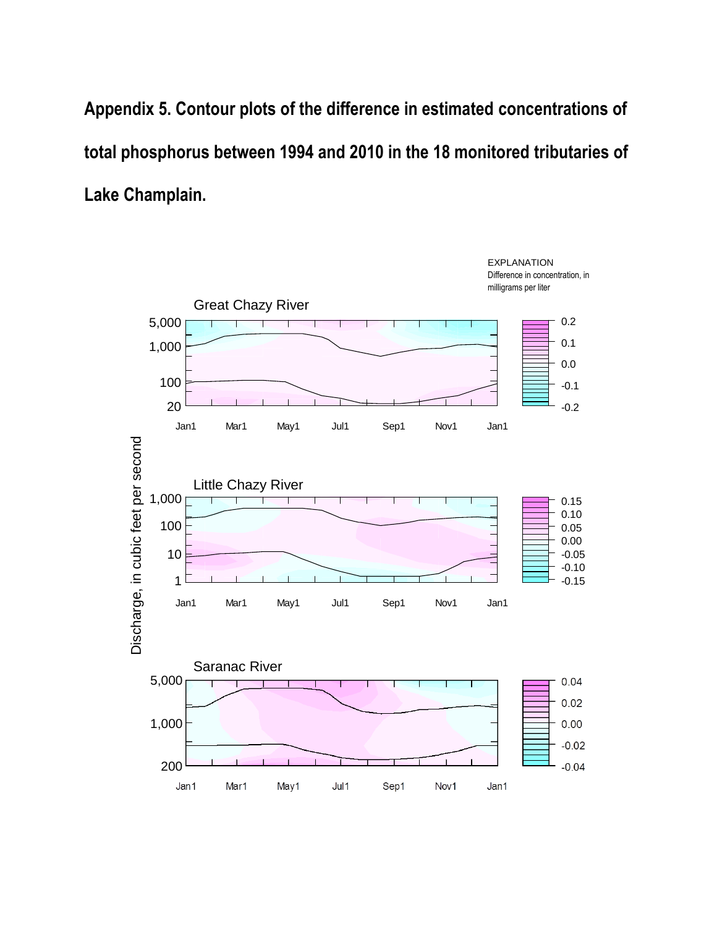**Appendix 5. Contour plots of the difference in estimated concentrations of total phosphorus between 1994 and 2010 in the 18 monitored tributaries of Lake Champlain.**

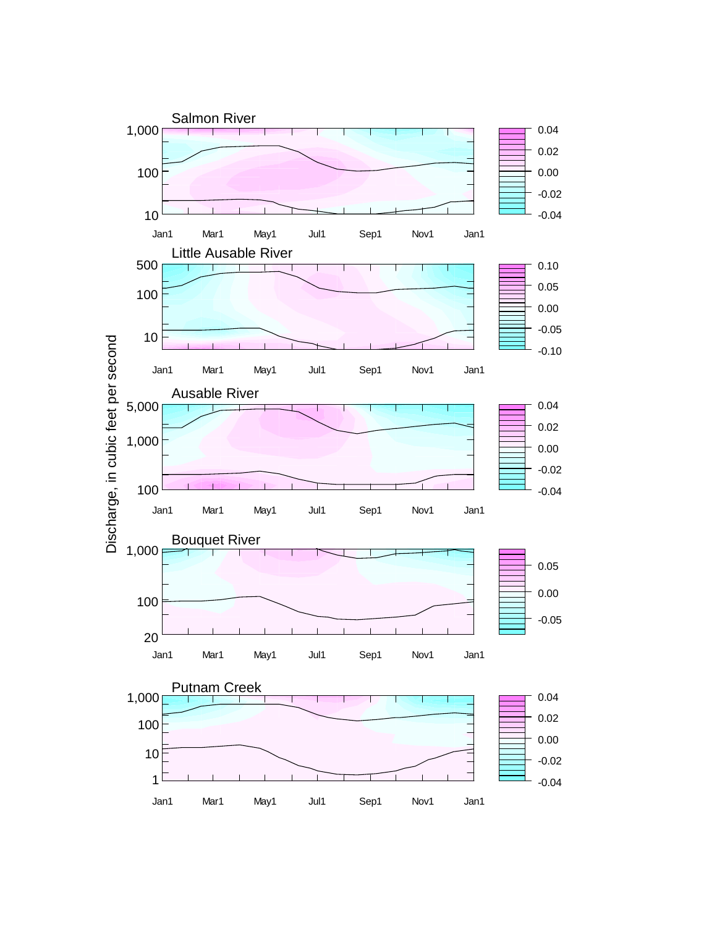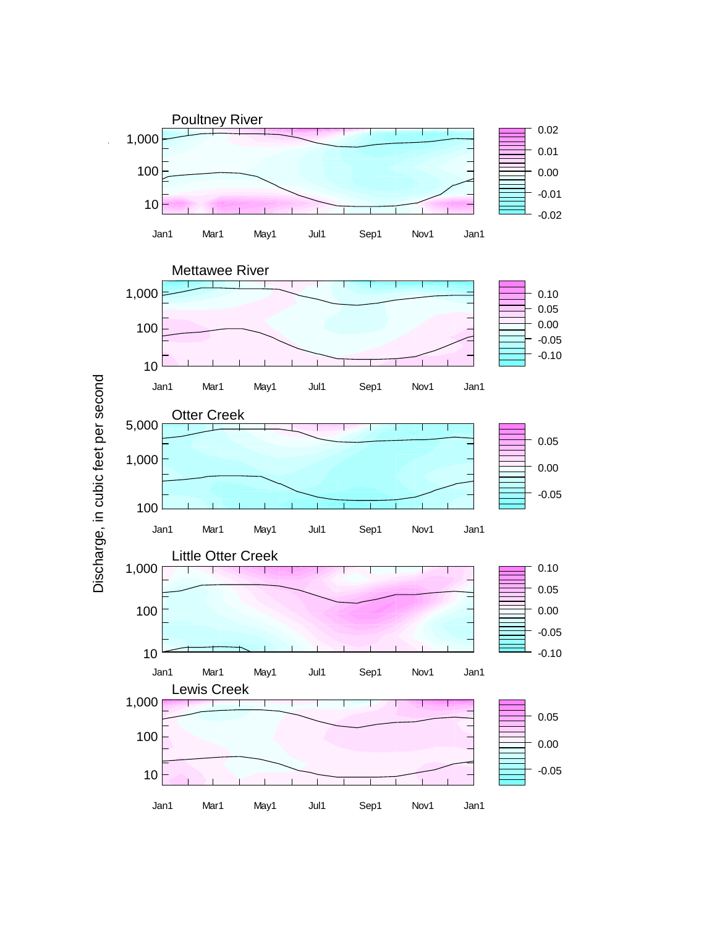